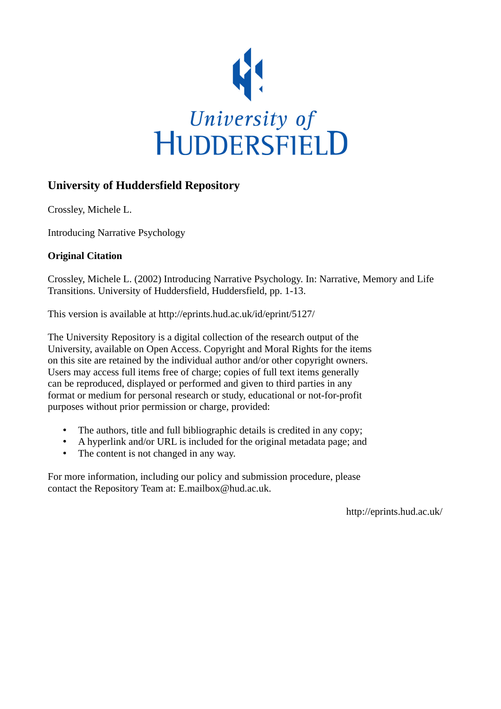

## **University of Huddersfield Repository**

Crossley, Michele L.

Introducing Narrative Psychology

### **Original Citation**

Crossley, Michele L. (2002) Introducing Narrative Psychology. In: Narrative, Memory and Life Transitions. University of Huddersfield, Huddersfield, pp. 1-13.

This version is available at http://eprints.hud.ac.uk/id/eprint/5127/

The University Repository is a digital collection of the research output of the University, available on Open Access. Copyright and Moral Rights for the items on this site are retained by the individual author and/or other copyright owners. Users may access full items free of charge; copies of full text items generally can be reproduced, displayed or performed and given to third parties in any format or medium for personal research or study, educational or not-for-profit purposes without prior permission or charge, provided:

- The authors, title and full bibliographic details is credited in any copy;
- A hyperlink and/or URL is included for the original metadata page; and
- The content is not changed in any way.

For more information, including our policy and submission procedure, please contact the Repository Team at: E.mailbox@hud.ac.uk.

http://eprints.hud.ac.uk/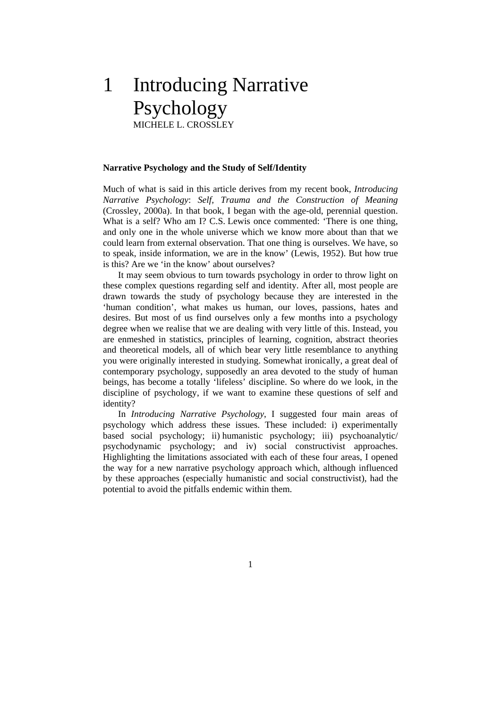# 1 Introducing Narrative Psychology MICHELE L. CROSSLEY

#### **Narrative Psychology and the Study of Self/Identity**

Much of what is said in this article derives from my recent book, *Introducing Narrative Psychology*: *Self, Trauma and the Construction of Meaning*  (Crossley, 2000a). In that book, I began with the age-old, perennial question. What is a self? Who am I? C.S. Lewis once commented: 'There is one thing, and only one in the whole universe which we know more about than that we could learn from external observation. That one thing is ourselves. We have, so to speak, inside information, we are in the know' (Lewis, 1952). But how true is this? Are we 'in the know' about ourselves?

 It may seem obvious to turn towards psychology in order to throw light on these complex questions regarding self and identity. After all, most people are drawn towards the study of psychology because they are interested in the 'human condition', what makes us human, our loves, passions, hates and desires. But most of us find ourselves only a few months into a psychology degree when we realise that we are dealing with very little of this. Instead, you are enmeshed in statistics, principles of learning, cognition, abstract theories and theoretical models, all of which bear very little resemblance to anything you were originally interested in studying. Somewhat ironically, a great deal of contemporary psychology, supposedly an area devoted to the study of human beings, has become a totally 'lifeless' discipline. So where do we look, in the discipline of psychology, if we want to examine these questions of self and identity?

 In *Introducing Narrative Psychology*, I suggested four main areas of psychology which address these issues. These included: i) experimentally based social psychology; ii) humanistic psychology; iii) psychoanalytic/ psychodynamic psychology; and iv) social constructivist approaches. Highlighting the limitations associated with each of these four areas, I opened the way for a new narrative psychology approach which, although influenced by these approaches (especially humanistic and social constructivist), had the potential to avoid the pitfalls endemic within them.

1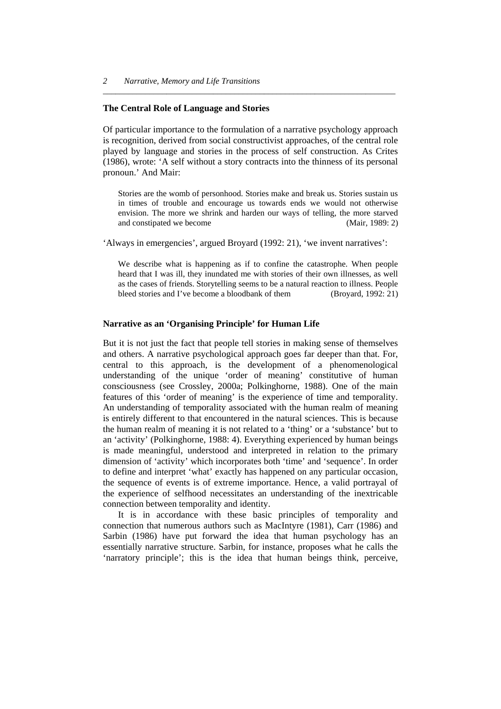#### **The Central Role of Language and Stories**

Of particular importance to the formulation of a narrative psychology approach is recognition, derived from social constructivist approaches, of the central role played by language and stories in the process of self construction. As Crites (1986), wrote: 'A self without a story contracts into the thinness of its personal pronoun.' And Mair:

*\_\_\_\_\_\_\_\_\_\_\_\_\_\_\_\_\_\_\_\_\_\_\_\_\_\_\_\_\_\_\_\_\_\_\_\_\_\_\_\_\_\_\_\_\_\_\_\_\_\_\_\_\_\_\_\_\_\_\_\_\_\_\_\_\_\_\_\_\_* 

Stories are the womb of personhood. Stories make and break us. Stories sustain us in times of trouble and encourage us towards ends we would not otherwise envision. The more we shrink and harden our ways of telling, the more starved and constipated we become (Mair, 1989: 2)

'Always in emergencies', argued Broyard (1992: 21), 'we invent narratives':

We describe what is happening as if to confine the catastrophe. When people heard that I was ill, they inundated me with stories of their own illnesses, as well as the cases of friends. Storytelling seems to be a natural reaction to illness. People bleed stories and I've become a bloodbank of them (Broyard, 1992: 21)

#### **Narrative as an 'Organising Principle' for Human Life**

But it is not just the fact that people tell stories in making sense of themselves and others. A narrative psychological approach goes far deeper than that. For, central to this approach, is the development of a phenomenological understanding of the unique 'order of meaning' constitutive of human consciousness (see Crossley, 2000a; Polkinghorne, 1988). One of the main features of this 'order of meaning' is the experience of time and temporality. An understanding of temporality associated with the human realm of meaning is entirely different to that encountered in the natural sciences. This is because the human realm of meaning it is not related to a 'thing' or a 'substance' but to an 'activity' (Polkinghorne, 1988: 4). Everything experienced by human beings is made meaningful, understood and interpreted in relation to the primary dimension of 'activity' which incorporates both 'time' and 'sequence'. In order to define and interpret 'what' exactly has happened on any particular occasion, the sequence of events is of extreme importance. Hence, a valid portrayal of the experience of selfhood necessitates an understanding of the inextricable connection between temporality and identity.

 It is in accordance with these basic principles of temporality and connection that numerous authors such as MacIntyre (1981), Carr (1986) and Sarbin (1986) have put forward the idea that human psychology has an essentially narrative structure. Sarbin, for instance, proposes what he calls the 'narratory principle'; this is the idea that human beings think, perceive,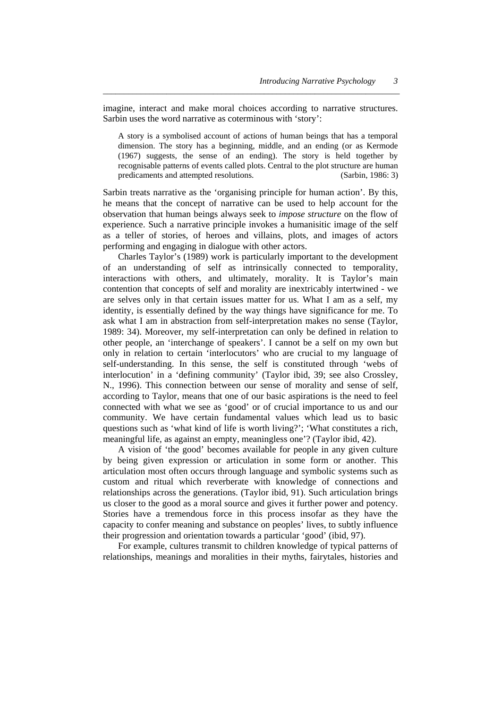imagine, interact and make moral choices according to narrative structures. Sarbin uses the word narrative as coterminous with 'story':

*\_\_\_\_\_\_\_\_\_\_\_\_\_\_\_\_\_\_\_\_\_\_\_\_\_\_\_\_\_\_\_\_\_\_\_\_\_\_\_\_\_\_\_\_\_\_\_\_\_\_\_\_\_\_\_\_\_\_\_\_\_\_\_\_\_\_\_\_\_\_* 

A story is a symbolised account of actions of human beings that has a temporal dimension. The story has a beginning, middle, and an ending (or as Kermode (1967) suggests, the sense of an ending). The story is held together by recognisable patterns of events called plots. Central to the plot structure are human predicaments and attempted resolutions. (Sarbin, 1986: 3)

Sarbin treats narrative as the 'organising principle for human action'. By this, he means that the concept of narrative can be used to help account for the observation that human beings always seek to *impose structure* on the flow of experience. Such a narrative principle invokes a humanisitic image of the self as a teller of stories, of heroes and villains, plots, and images of actors performing and engaging in dialogue with other actors.

 Charles Taylor's (1989) work is particularly important to the development of an understanding of self as intrinsically connected to temporality, interactions with others, and ultimately, morality. It is Taylor's main contention that concepts of self and morality are inextricably intertwined - we are selves only in that certain issues matter for us. What I am as a self, my identity, is essentially defined by the way things have significance for me. To ask what I am in abstraction from self-interpretation makes no sense (Taylor, 1989: 34). Moreover, my self-interpretation can only be defined in relation to other people, an 'interchange of speakers'. I cannot be a self on my own but only in relation to certain 'interlocutors' who are crucial to my language of self-understanding. In this sense, the self is constituted through 'webs of interlocution' in a 'defining community' (Taylor ibid, 39; see also Crossley, N., 1996). This connection between our sense of morality and sense of self, according to Taylor, means that one of our basic aspirations is the need to feel connected with what we see as 'good' or of crucial importance to us and our community. We have certain fundamental values which lead us to basic questions such as 'what kind of life is worth living?'; 'What constitutes a rich, meaningful life, as against an empty, meaningless one'? (Taylor ibid, 42).

 A vision of 'the good' becomes available for people in any given culture by being given expression or articulation in some form or another. This articulation most often occurs through language and symbolic systems such as custom and ritual which reverberate with knowledge of connections and relationships across the generations. (Taylor ibid, 91). Such articulation brings us closer to the good as a moral source and gives it further power and potency. Stories have a tremendous force in this process insofar as they have the capacity to confer meaning and substance on peoples' lives, to subtly influence their progression and orientation towards a particular 'good' (ibid, 97).

 For example, cultures transmit to children knowledge of typical patterns of relationships, meanings and moralities in their myths, fairytales, histories and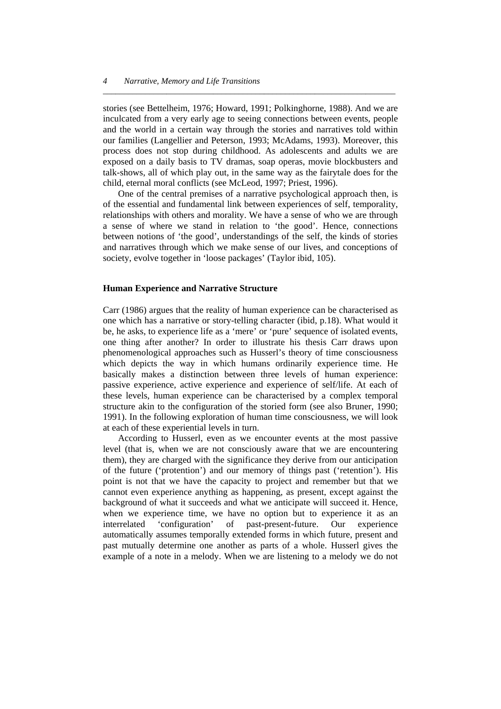stories (see Bettelheim, 1976; Howard, 1991; Polkinghorne, 1988). And we are inculcated from a very early age to seeing connections between events, people and the world in a certain way through the stories and narratives told within our families (Langellier and Peterson, 1993; McAdams, 1993). Moreover, this process does not stop during childhood. As adolescents and adults we are exposed on a daily basis to TV dramas, soap operas, movie blockbusters and talk-shows, all of which play out, in the same way as the fairytale does for the child, eternal moral conflicts (see McLeod, 1997; Priest, 1996).

*\_\_\_\_\_\_\_\_\_\_\_\_\_\_\_\_\_\_\_\_\_\_\_\_\_\_\_\_\_\_\_\_\_\_\_\_\_\_\_\_\_\_\_\_\_\_\_\_\_\_\_\_\_\_\_\_\_\_\_\_\_\_\_\_\_\_\_\_\_* 

 One of the central premises of a narrative psychological approach then, is of the essential and fundamental link between experiences of self, temporality, relationships with others and morality. We have a sense of who we are through a sense of where we stand in relation to 'the good'. Hence, connections between notions of 'the good', understandings of the self, the kinds of stories and narratives through which we make sense of our lives, and conceptions of society, evolve together in 'loose packages' (Taylor ibid, 105).

#### **Human Experience and Narrative Structure**

Carr (1986) argues that the reality of human experience can be characterised as one which has a narrative or story-telling character (ibid, p.18). What would it be, he asks, to experience life as a 'mere' or 'pure' sequence of isolated events, one thing after another? In order to illustrate his thesis Carr draws upon phenomenological approaches such as Husserl's theory of time consciousness which depicts the way in which humans ordinarily experience time. He basically makes a distinction between three levels of human experience: passive experience, active experience and experience of self/life. At each of these levels, human experience can be characterised by a complex temporal structure akin to the configuration of the storied form (see also Bruner, 1990; 1991). In the following exploration of human time consciousness, we will look at each of these experiential levels in turn.

 According to Husserl, even as we encounter events at the most passive level (that is, when we are not consciously aware that we are encountering them), they are charged with the significance they derive from our anticipation of the future ('protention') and our memory of things past ('retention'). His point is not that we have the capacity to project and remember but that we cannot even experience anything as happening, as present, except against the background of what it succeeds and what we anticipate will succeed it. Hence, when we experience time, we have no option but to experience it as an interrelated 'configuration' of past-present-future. Our experience automatically assumes temporally extended forms in which future, present and past mutually determine one another as parts of a whole. Husserl gives the example of a note in a melody. When we are listening to a melody we do not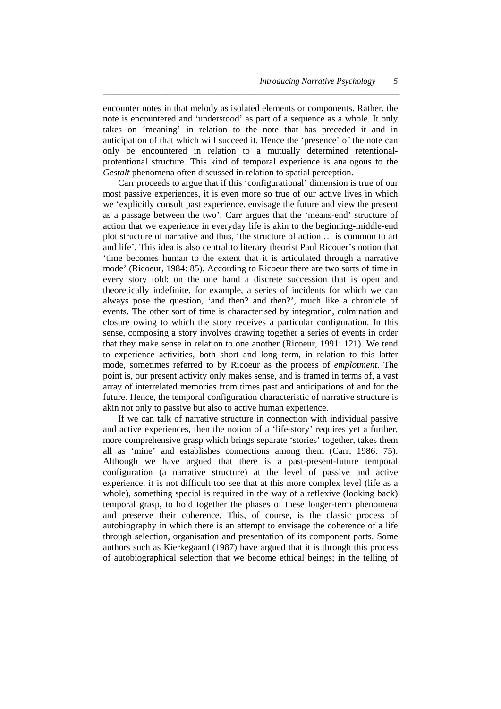encounter notes in that melody as isolated elements or components. Rather, the note is encountered and 'understood' as part of a sequence as a whole. It only takes on 'meaning' in relation to the note that has preceded it and in anticipation of that which will succeed it. Hence the 'presence' of the note can only be encountered in relation to a mutually determined retentionalprotentional structure. This kind of temporal experience is analogous to the *Gestalt* phenomena often discussed in relation to spatial perception.

*\_\_\_\_\_\_\_\_\_\_\_\_\_\_\_\_\_\_\_\_\_\_\_\_\_\_\_\_\_\_\_\_\_\_\_\_\_\_\_\_\_\_\_\_\_\_\_\_\_\_\_\_\_\_\_\_\_\_\_\_\_\_\_\_\_\_\_\_\_\_* 

 Carr proceeds to argue that if this 'configurational' dimension is true of our most passive experiences, it is even more so true of our active lives in which we 'explicitly consult past experience, envisage the future and view the present as a passage between the two'. Carr argues that the 'means-end' structure of action that we experience in everyday life is akin to the beginning-middle-end plot structure of narrative and thus, 'the structure of action … is common to art and life'. This idea is also central to literary theorist Paul Ricouer's notion that 'time becomes human to the extent that it is articulated through a narrative mode' (Ricoeur, 1984: 85). According to Ricoeur there are two sorts of time in every story told: on the one hand a discrete succession that is open and theoretically indefinite, for example, a series of incidents for which we can always pose the question, 'and then? and then?', much like a chronicle of events. The other sort of time is characterised by integration, culmination and closure owing to which the story receives a particular configuration. In this sense, composing a story involves drawing together a series of events in order that they make sense in relation to one another (Ricoeur, 1991: 121). We tend to experience activities, both short and long term, in relation to this latter mode, sometimes referred to by Ricoeur as the process of *emplotment*. The point is, our present activity only makes sense, and is framed in terms of, a vast array of interrelated memories from times past and anticipations of and for the future. Hence, the temporal configuration characteristic of narrative structure is akin not only to passive but also to active human experience.

 If we can talk of narrative structure in connection with individual passive and active experiences, then the notion of a 'life-story' requires yet a further, more comprehensive grasp which brings separate 'stories' together, takes them all as 'mine' and establishes connections among them (Carr, 1986: 75). Although we have argued that there is a past-present-future temporal configuration (a narrative structure) at the level of passive and active experience, it is not difficult too see that at this more complex level (life as a whole), something special is required in the way of a reflexive (looking back) temporal grasp, to hold together the phases of these longer-term phenomena and preserve their coherence. This, of course, is the classic process of autobiography in which there is an attempt to envisage the coherence of a life through selection, organisation and presentation of its component parts. Some authors such as Kierkegaard (1987) have argued that it is through this process of autobiographical selection that we become ethical beings; in the telling of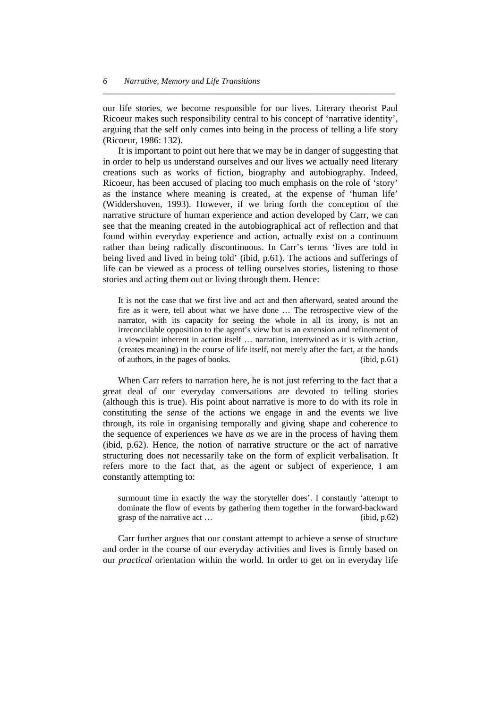our life stories, we become responsible for our lives. Literary theorist Paul Ricoeur makes such responsibility central to his concept of 'narrative identity', arguing that the self only comes into being in the process of telling a life story (Ricoeur, 1986: 132).

*\_\_\_\_\_\_\_\_\_\_\_\_\_\_\_\_\_\_\_\_\_\_\_\_\_\_\_\_\_\_\_\_\_\_\_\_\_\_\_\_\_\_\_\_\_\_\_\_\_\_\_\_\_\_\_\_\_\_\_\_\_\_\_\_\_\_\_\_\_* 

 It is important to point out here that we may be in danger of suggesting that in order to help us understand ourselves and our lives we actually need literary creations such as works of fiction, biography and autobiography. Indeed, Ricoeur, has been accused of placing too much emphasis on the role of 'story' as the instance where meaning is created, at the expense of 'human life' (Widdershoven, 1993). However, if we bring forth the conception of the narrative structure of human experience and action developed by Carr, we can see that the meaning created in the autobiographical act of reflection and that found within everyday experience and action, actually exist on a continuum rather than being radically discontinuous. In Carr's terms 'lives are told in being lived and lived in being told' (ibid, p.61). The actions and sufferings of life can be viewed as a process of telling ourselves stories, listening to those stories and acting them out or living through them. Hence:

It is not the case that we first live and act and then afterward, seated around the fire as it were, tell about what we have done … The retrospective view of the narrator, with its capacity for seeing the whole in all its irony, is not an irreconcilable opposition to the agent's view but is an extension and refinement of a viewpoint inherent in action itself … narration, intertwined as it is with action, (creates meaning) in the course of life itself, not merely after the fact, at the hands of authors, in the pages of books. (ibid, p.61)

 When Carr refers to narration here, he is not just referring to the fact that a great deal of our everyday conversations are devoted to telling stories (although this is true). His point about narrative is more to do with its role in constituting the *sense* of the actions we engage in and the events we live through, its role in organising temporally and giving shape and coherence to the sequence of experiences we have *as* we are in the process of having them (ibid, p.62). Hence, the notion of narrative structure or the act of narrative structuring does not necessarily take on the form of explicit verbalisation. It refers more to the fact that, as the agent or subject of experience, I am constantly attempting to:

surmount time in exactly the way the storyteller does'. I constantly 'attempt to dominate the flow of events by gathering them together in the forward-backward grasp of the narrative act … (ibid, p.62)

 Carr further argues that our constant attempt to achieve a sense of structure and order in the course of our everyday activities and lives is firmly based on our *practical* orientation within the world. In order to get on in everyday life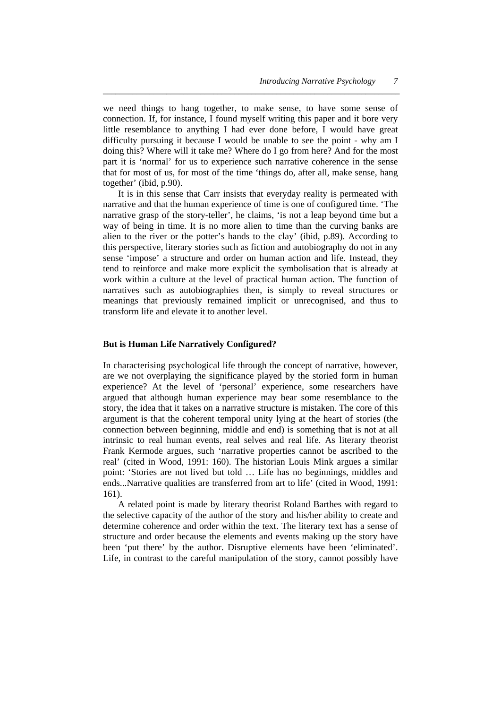we need things to hang together, to make sense, to have some sense of connection. If, for instance, I found myself writing this paper and it bore very little resemblance to anything I had ever done before, I would have great difficulty pursuing it because I would be unable to see the point - why am I doing this? Where will it take me? Where do I go from here? And for the most part it is 'normal' for us to experience such narrative coherence in the sense that for most of us, for most of the time 'things do, after all, make sense, hang together' (ibid, p.90).

*\_\_\_\_\_\_\_\_\_\_\_\_\_\_\_\_\_\_\_\_\_\_\_\_\_\_\_\_\_\_\_\_\_\_\_\_\_\_\_\_\_\_\_\_\_\_\_\_\_\_\_\_\_\_\_\_\_\_\_\_\_\_\_\_\_\_\_\_\_\_* 

 It is in this sense that Carr insists that everyday reality is permeated with narrative and that the human experience of time is one of configured time. 'The narrative grasp of the story-teller', he claims, 'is not a leap beyond time but a way of being in time. It is no more alien to time than the curving banks are alien to the river or the potter's hands to the clay' (ibid, p.89). According to this perspective, literary stories such as fiction and autobiography do not in any sense 'impose' a structure and order on human action and life. Instead, they tend to reinforce and make more explicit the symbolisation that is already at work within a culture at the level of practical human action. The function of narratives such as autobiographies then, is simply to reveal structures or meanings that previously remained implicit or unrecognised, and thus to transform life and elevate it to another level.

#### **But is Human Life Narratively Configured?**

In characterising psychological life through the concept of narrative, however, are we not overplaying the significance played by the storied form in human experience? At the level of 'personal' experience, some researchers have argued that although human experience may bear some resemblance to the story, the idea that it takes on a narrative structure is mistaken. The core of this argument is that the coherent temporal unity lying at the heart of stories (the connection between beginning, middle and end) is something that is not at all intrinsic to real human events, real selves and real life. As literary theorist Frank Kermode argues, such 'narrative properties cannot be ascribed to the real' (cited in Wood, 1991: 160). The historian Louis Mink argues a similar point: 'Stories are not lived but told … Life has no beginnings, middles and ends...Narrative qualities are transferred from art to life' (cited in Wood, 1991: 161).

 A related point is made by literary theorist Roland Barthes with regard to the selective capacity of the author of the story and his/her ability to create and determine coherence and order within the text. The literary text has a sense of structure and order because the elements and events making up the story have been 'put there' by the author. Disruptive elements have been 'eliminated'. Life, in contrast to the careful manipulation of the story, cannot possibly have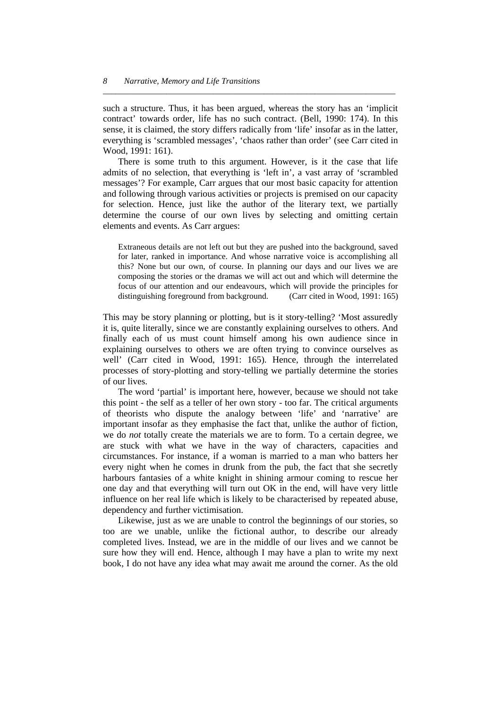such a structure. Thus, it has been argued, whereas the story has an 'implicit contract' towards order, life has no such contract. (Bell, 1990: 174). In this sense, it is claimed, the story differs radically from 'life' insofar as in the latter, everything is 'scrambled messages', 'chaos rather than order' (see Carr cited in Wood, 1991: 161).

*\_\_\_\_\_\_\_\_\_\_\_\_\_\_\_\_\_\_\_\_\_\_\_\_\_\_\_\_\_\_\_\_\_\_\_\_\_\_\_\_\_\_\_\_\_\_\_\_\_\_\_\_\_\_\_\_\_\_\_\_\_\_\_\_\_\_\_\_\_* 

 There is some truth to this argument. However, is it the case that life admits of no selection, that everything is 'left in', a vast array of 'scrambled messages'? For example, Carr argues that our most basic capacity for attention and following through various activities or projects is premised on our capacity for selection. Hence, just like the author of the literary text, we partially determine the course of our own lives by selecting and omitting certain elements and events. As Carr argues:

Extraneous details are not left out but they are pushed into the background, saved for later, ranked in importance. And whose narrative voice is accomplishing all this? None but our own, of course. In planning our days and our lives we are composing the stories or the dramas we will act out and which will determine the focus of our attention and our endeavours, which will provide the principles for distinguishing foreground from background. (Carr cited in Wood, 1991: 165)

This may be story planning or plotting, but is it story-telling? 'Most assuredly it is, quite literally, since we are constantly explaining ourselves to others. And finally each of us must count himself among his own audience since in explaining ourselves to others we are often trying to convince ourselves as well' (Carr cited in Wood, 1991: 165). Hence, through the interrelated processes of story-plotting and story-telling we partially determine the stories of our lives.

 The word 'partial' is important here, however, because we should not take this point - the self as a teller of her own story - too far. The critical arguments of theorists who dispute the analogy between 'life' and 'narrative' are important insofar as they emphasise the fact that, unlike the author of fiction, we do *not* totally create the materials we are to form. To a certain degree, we are stuck with what we have in the way of characters, capacities and circumstances. For instance, if a woman is married to a man who batters her every night when he comes in drunk from the pub, the fact that she secretly harbours fantasies of a white knight in shining armour coming to rescue her one day and that everything will turn out OK in the end, will have very little influence on her real life which is likely to be characterised by repeated abuse, dependency and further victimisation.

 Likewise, just as we are unable to control the beginnings of our stories, so too are we unable, unlike the fictional author, to describe our already completed lives. Instead, we are in the middle of our lives and we cannot be sure how they will end. Hence, although I may have a plan to write my next book, I do not have any idea what may await me around the corner. As the old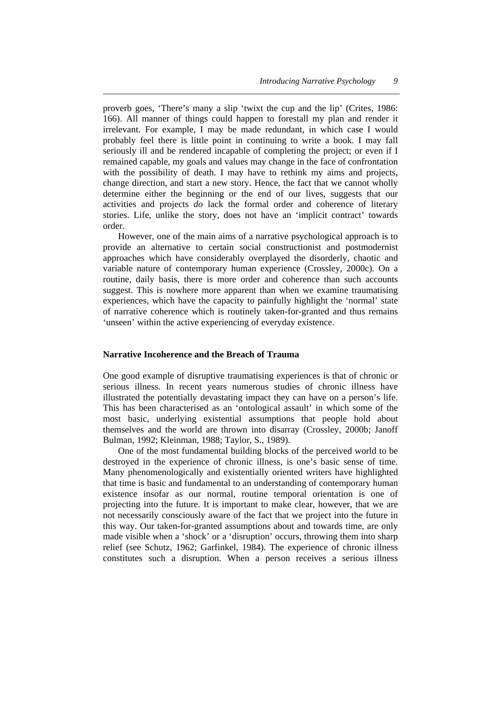proverb goes, 'There's many a slip 'twixt the cup and the lip' (Crites, 1986: 166). All manner of things could happen to forestall my plan and render it irrelevant. For example, I may be made redundant, in which case I would probably feel there is little point in continuing to write a book. I may fall seriously ill and be rendered incapable of completing the project; or even if I remained capable, my goals and values may change in the face of confrontation with the possibility of death. I may have to rethink my aims and projects, change direction, and start a new story. Hence, the fact that we cannot wholly determine either the beginning or the end of our lives, suggests that our activities and projects *do* lack the formal order and coherence of literary stories. Life, unlike the story, does not have an 'implicit contract' towards order.

*\_\_\_\_\_\_\_\_\_\_\_\_\_\_\_\_\_\_\_\_\_\_\_\_\_\_\_\_\_\_\_\_\_\_\_\_\_\_\_\_\_\_\_\_\_\_\_\_\_\_\_\_\_\_\_\_\_\_\_\_\_\_\_\_\_\_\_\_\_\_* 

 However, one of the main aims of a narrative psychological approach is to provide an alternative to certain social constructionist and postmodernist approaches which have considerably overplayed the disorderly, chaotic and variable nature of contemporary human experience (Crossley, 2000c). On a routine, daily basis, there is more order and coherence than such accounts suggest. This is nowhere more apparent than when we examine traumatising experiences, which have the capacity to painfully highlight the 'normal' state of narrative coherence which is routinely taken-for-granted and thus remains 'unseen' within the active experiencing of everyday existence.

#### **Narrative Incoherence and the Breach of Trauma**

One good example of disruptive traumatising experiences is that of chronic or serious illness. In recent years numerous studies of chronic illness have illustrated the potentially devastating impact they can have on a person's life. This has been characterised as an 'ontological assault' in which some of the most basic, underlying existential assumptions that people hold about themselves and the world are thrown into disarray (Crossley, 2000b; Janoff Bulman, 1992; Kleinman, 1988; Taylor, S., 1989).

 One of the most fundamental building blocks of the perceived world to be destroyed in the experience of chronic illness, is one's basic sense of time. Many phenomenologically and existentially oriented writers have highlighted that time is basic and fundamental to an understanding of contemporary human existence insofar as our normal, routine temporal orientation is one of projecting into the future. It is important to make clear, however, that we are not necessarily consciously aware of the fact that we project into the future in this way. Our taken-for-granted assumptions about and towards time, are only made visible when a 'shock' or a 'disruption' occurs, throwing them into sharp relief (see Schutz, 1962; Garfinkel, 1984). The experience of chronic illness constitutes such a disruption. When a person receives a serious illness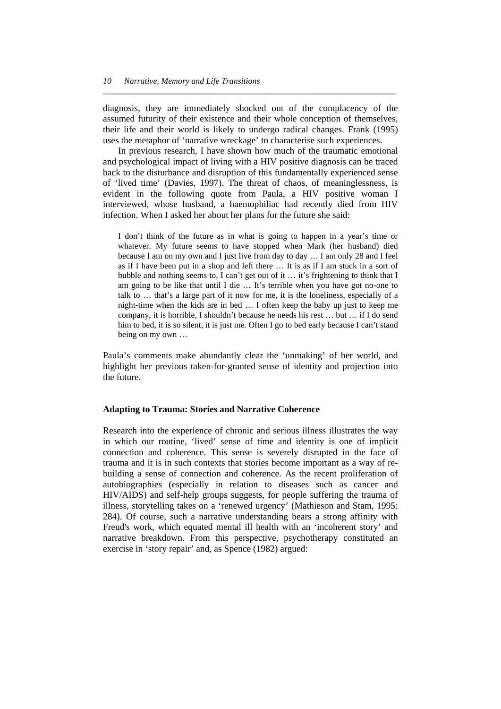diagnosis, they are immediately shocked out of the complacency of the assumed futurity of their existence and their whole conception of themselves, their life and their world is likely to undergo radical changes. Frank (1995) uses the metaphor of 'narrative wreckage' to characterise such experiences.

*\_\_\_\_\_\_\_\_\_\_\_\_\_\_\_\_\_\_\_\_\_\_\_\_\_\_\_\_\_\_\_\_\_\_\_\_\_\_\_\_\_\_\_\_\_\_\_\_\_\_\_\_\_\_\_\_\_\_\_\_\_\_\_\_\_\_\_\_\_* 

 In previous research, I have shown how much of the traumatic emotional and psychological impact of living with a HIV positive diagnosis can be traced back to the disturbance and disruption of this fundamentally experienced sense of 'lived time' (Davies, 1997). The threat of chaos, of meaninglessness, is evident in the following quote from Paula, a HIV positive woman I interviewed, whose husband, a haemophiliac had recently died from HIV infection. When I asked her about her plans for the future she said:

I don't think of the future as in what is going to happen in a year's time or whatever. My future seems to have stopped when Mark (her husband) died because I am on my own and I just live from day to day … I am only 28 and I feel as if I have been put in a shop and left there … It is as if I am stuck in a sort of bubble and nothing seems to, I can't get out of it … it's frightening to think that I am going to be like that until I die … It's terrible when you have got no-one to talk to … that's a large part of it now for me, it is the loneliness, especially of a night-time when the kids are in bed … I often keep the baby up just to keep me company, it is horrible, I shouldn't because he needs his rest … but … if I do send him to bed, it is so silent, it is just me. Often I go to bed early because I can't stand being on my own …

Paula's comments make abundantly clear the 'unmaking' of her world, and highlight her previous taken-for-granted sense of identity and projection into the future.

#### **Adapting to Trauma: Stories and Narrative Coherence**

Research into the experience of chronic and serious illness illustrates the way in which our routine, 'lived' sense of time and identity is one of implicit connection and coherence. This sense is severely disrupted in the face of trauma and it is in such contexts that stories become important as a way of rebuilding a sense of connection and coherence. As the recent proliferation of autobiographies (especially in relation to diseases such as cancer and HIV/AIDS) and self-help groups suggests, for people suffering the trauma of illness, storytelling takes on a 'renewed urgency' (Mathieson and Stam, 1995: 284). Of course, such a narrative understanding bears a strong affinity with Freud's work, which equated mental ill health with an 'incoherent story' and narrative breakdown. From this perspective, psychotherapy constituted an exercise in 'story repair' and, as Spence (1982) argued: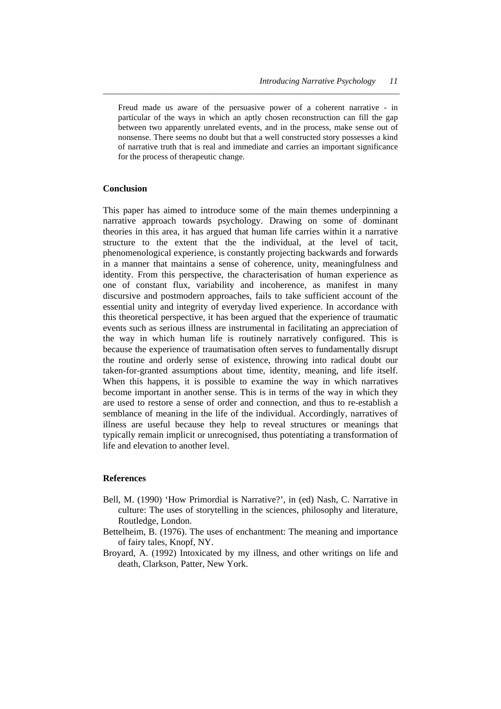Freud made us aware of the persuasive power of a coherent narrative - in particular of the ways in which an aptly chosen reconstruction can fill the gap between two apparently unrelated events, and in the process, make sense out of nonsense. There seems no doubt but that a well constructed story possesses a kind of narrative truth that is real and immediate and carries an important significance for the process of therapeutic change.

*\_\_\_\_\_\_\_\_\_\_\_\_\_\_\_\_\_\_\_\_\_\_\_\_\_\_\_\_\_\_\_\_\_\_\_\_\_\_\_\_\_\_\_\_\_\_\_\_\_\_\_\_\_\_\_\_\_\_\_\_\_\_\_\_\_\_\_\_\_\_* 

#### **Conclusion**

This paper has aimed to introduce some of the main themes underpinning a narrative approach towards psychology. Drawing on some of dominant theories in this area, it has argued that human life carries within it a narrative structure to the extent that the the individual, at the level of tacit, phenomenological experience, is constantly projecting backwards and forwards in a manner that maintains a sense of coherence, unity, meaningfulness and identity. From this perspective, the characterisation of human experience as one of constant flux, variability and incoherence, as manifest in many discursive and postmodern approaches, fails to take sufficient account of the essential unity and integrity of everyday lived experience. In accordance with this theoretical perspective, it has been argued that the experience of traumatic events such as serious illness are instrumental in facilitating an appreciation of the way in which human life is routinely narratively configured. This is because the experience of traumatisation often serves to fundamentally disrupt the routine and orderly sense of existence, throwing into radical doubt our taken-for-granted assumptions about time, identity, meaning, and life itself. When this happens, it is possible to examine the way in which narratives become important in another sense. This is in terms of the way in which they are used to restore a sense of order and connection, and thus to re-establish a semblance of meaning in the life of the individual. Accordingly, narratives of illness are useful because they help to reveal structures or meanings that typically remain implicit or unrecognised, thus potentiating a transformation of life and elevation to another level.

#### **References**

- Bell, M. (1990) 'How Primordial is Narrative?', in (ed) Nash, C. Narrative in culture: The uses of storytelling in the sciences, philosophy and literature, Routledge, London.
- Bettelheim, B. (1976). The uses of enchantment: The meaning and importance of fairy tales, Knopf, NY.
- Broyard, A. (1992) Intoxicated by my illness, and other writings on life and death, Clarkson, Patter, New York.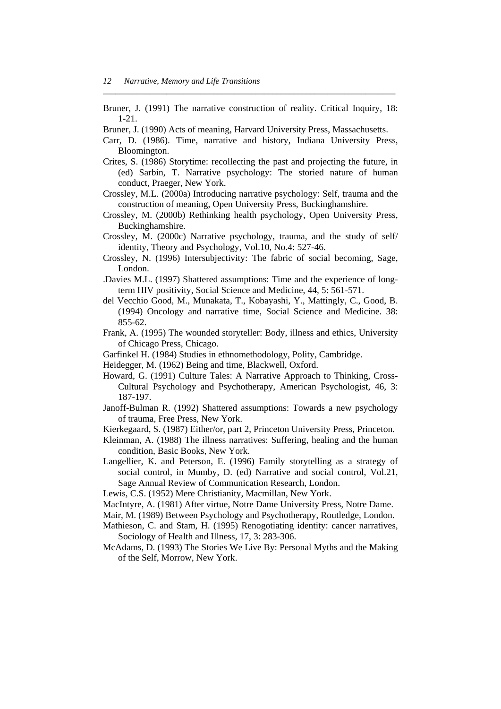Bruner, J. (1991) The narrative construction of reality. Critical Inquiry, 18: 1-21.

*\_\_\_\_\_\_\_\_\_\_\_\_\_\_\_\_\_\_\_\_\_\_\_\_\_\_\_\_\_\_\_\_\_\_\_\_\_\_\_\_\_\_\_\_\_\_\_\_\_\_\_\_\_\_\_\_\_\_\_\_\_\_\_\_\_\_\_\_\_* 

- Bruner, J. (1990) Acts of meaning, Harvard University Press, Massachusetts.
- Carr, D. (1986). Time, narrative and history, Indiana University Press, Bloomington.
- Crites, S. (1986) Storytime: recollecting the past and projecting the future, in (ed) Sarbin, T. Narrative psychology: The storied nature of human conduct, Praeger, New York.
- Crossley, M.L. (2000a) Introducing narrative psychology: Self, trauma and the construction of meaning, Open University Press, Buckinghamshire.
- Crossley, M. (2000b) Rethinking health psychology, Open University Press, Buckinghamshire.
- Crossley, M. (2000c) Narrative psychology, trauma, and the study of self/ identity, Theory and Psychology, Vol.10, No.4: 527-46.
- Crossley, N. (1996) Intersubjectivity: The fabric of social becoming, Sage, London.
- .Davies M.L. (1997) Shattered assumptions: Time and the experience of longterm HIV positivity, Social Science and Medicine, 44, 5: 561-571.
- del Vecchio Good, M., Munakata, T., Kobayashi, Y., Mattingly, C., Good, B. (1994) Oncology and narrative time, Social Science and Medicine. 38: 855-62.
- Frank, A. (1995) The wounded storyteller: Body, illness and ethics, University of Chicago Press, Chicago.
- Garfinkel H. (1984) Studies in ethnomethodology, Polity, Cambridge.
- Heidegger, M. (1962) Being and time, Blackwell, Oxford.
- Howard, G. (1991) Culture Tales: A Narrative Approach to Thinking, Cross-Cultural Psychology and Psychotherapy, American Psychologist, 46, 3: 187-197.
- Janoff-Bulman R. (1992) Shattered assumptions: Towards a new psychology of trauma, Free Press, New York.
- Kierkegaard, S. (1987) Either/or, part 2, Princeton University Press, Princeton.
- Kleinman, A. (1988) The illness narratives: Suffering, healing and the human condition, Basic Books, New York.
- Langellier, K. and Peterson, E. (1996) Family storytelling as a strategy of social control, in Mumby, D. (ed) Narrative and social control, Vol.21, Sage Annual Review of Communication Research, London.

Lewis, C.S. (1952) Mere Christianity, Macmillan, New York.

- MacIntyre, A. (1981) After virtue, Notre Dame University Press, Notre Dame.
- Mair, M. (1989) Between Psychology and Psychotherapy, Routledge, London.
- Mathieson, C. and Stam, H. (1995) Renogotiating identity: cancer narratives, Sociology of Health and Illness, 17, 3: 283-306.
- McAdams, D. (1993) The Stories We Live By: Personal Myths and the Making of the Self, Morrow, New York.